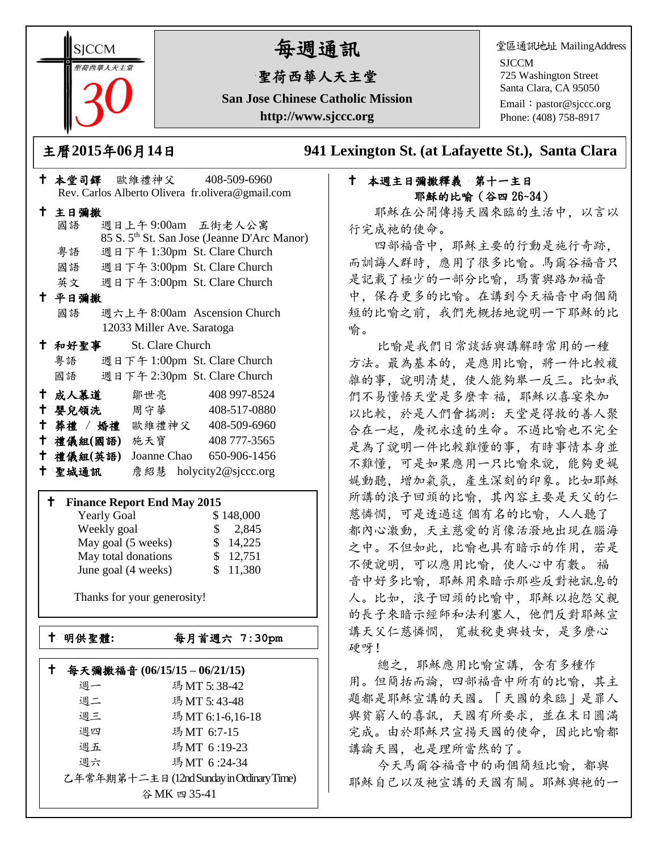**SICCM** 荷西華人天主

# 每週通訊

## 聖荷西華人天主堂

**San Jose Chinese Catholic Mission http://www.sjccc.org**

堂區通訊地址 MailingAddress

SJCCM 725 Washington Street Santa Clara, CA 95050

Email: [pastor@sjccc.org](mailto:pastor@sjccc.org) Phone: (408) 758-8917

主曆**2015**年**06**月**14**日 **941 Lexington St. (at Lafayette St.), Santa Clara** 

### 本堂司鐸 歐維禮神父 408-509-6960 Rev. Carlos Alberto Olivera fr.olivera@gmail.com 主日彌撒 國語 週日上午 9:00am 五街老人公寓 85 S. 5th St. San Jose (Jeanne D'Arc Manor) 粵語 週日下午 1:30pm St. Clare Church 國語 週日下午 3:00pm St. Clare Church 英文 週日下午 3:00pm St. Clare Church 平日彌撒 國語 週六上午 8:00am Ascension Church 12033 Miller Ave. Saratoga 和好聖事 St. Clare Church 粵語 週日下午 1:00pm St. Clare Church 國語 週日下午 2:30pm St. Clare Church 十 成人慕道 鄒世亮 408 997-8524 十 嬰兒領洗 周守華 408-517-0880 葬禮 / 婚禮 歐維禮神父 408-509-6960 禮儀組**(**國語**)** 施天寶 408 777-3565 禮儀組**(**英語**)** Joanne Chao 650-906-1456 聖城通訊 詹紹慧 holycity2@sjccc.org

#### **Finance Report End May 2015**

| <b>Yearly Goal</b>  | \$148,000    |
|---------------------|--------------|
| Weekly goal         | 2,845<br>SS. |
| May goal (5 weeks)  | \$14,225     |
| May total donations | \$12,751     |
| June goal (4 weeks) | \$11,380     |

Thanks for your generosity!

明供聖體**:**每月首週六 **7:30pm**

|                                           | 每天彌撒福音 (06/15/15-06/21/15) |                 |  |
|-------------------------------------------|----------------------------|-----------------|--|
|                                           | 调一                         | 瑪MT 5:38-42     |  |
|                                           | 週二                         | 瑪MT 5:43-48     |  |
|                                           | 週三                         | 瑪MT 6:1-6,16-18 |  |
|                                           | 週四                         | 瑪MT 6:7-15      |  |
|                                           | 週五                         | 瑪MT 6:19-23     |  |
|                                           | 週六                         | 瑪MT 6:24-34     |  |
| 乙年常年期第十二主日 (12nd Sunday in Ordinary Time) |                            |                 |  |
| 谷 MK 四 35-41                              |                            |                 |  |

### 十 本週主日彌撒釋義 第十一主日 耶穌的比喻(谷四 26~34)

 耶穌在公開傳揚天國來臨的生活中,以言以 行完成祂的使命。

 四部福音中,耶穌主要的行動是施行奇跡, 而訓誨人群時,應用了很多比喻。馬爾谷福音只 是記載了極少的一部分比喻,瑪竇與路加福音 中,保存更多的比喻。在講到今天福音中兩個簡 短的比喻之前,我們先概括地說明一下耶穌的比 喻。

 比喻是我們日常談話與講解時常用的一種 方法。最為基本的,是應用比喻,將一件比較複 雜的事,說明清楚,使人能夠舉一反三。比如我 們不易懂悟天堂是多麼幸 福,耶穌以喜宴來加 以比較,於是人們會揣測:天堂是得救的善人聚 合在一起,慶祝永遠的生命。不過比喻也不完全 是為了說明一件比較難懂的事,有時事情本身並 不難懂,可是如果應用一只比喻來說,能夠更娓 娓動聽,增加氣氛,產生深刻的印象。比如耶穌 所講的浪子回頭的比喻,其內容主要是天父的仁 慈憐憫,可是透過這 個有名的比喻,人人聽了 都內心激動,天主慈愛的肖像活潑地出現在腦海 之中。不但如此,比喻也具有暗示的作用,若是 不便說明,可以應用比喻,使人心中有數。 福 音中好多比喻,耶穌用來暗示那些反對祂訊息的 人。比如,浪子回頭的比喻中,耶穌以抱怨父親 的長子來暗示經師和法利塞人,他們反對耶穌宣 講天父仁慈憐憫, 寬赦稅吏與妓女,是多麼心 硬呀!

 總之,耶穌應用比喻宣講,含有多種作 用。但簡括而論,四部福音中所有的比喻,其主 題都是耶穌宣講的天國。「天國的來臨」是罪人 與貧窮人的喜訊,天國有所要求,並在末日圓滿 完成。由於耶穌只宣揚天國的使命,因此比喻都 講論天國,也是理所當然的了。

 今天馬爾谷福音中的兩個簡短比喻,都與 耶穌自己以及祂宣講的天國有關。耶穌與祂的一